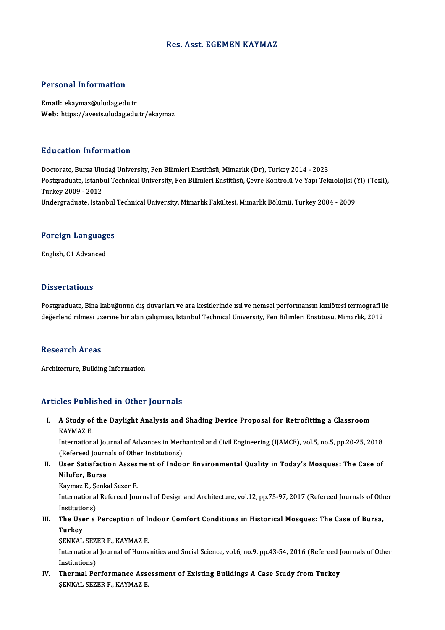## Res. Asst. EGEMEN KAYMAZ

## Personal Information

Email: ekaymaz@uludag.edu.tr Web: https://avesis.uludag.edu.tr/ekaymaz

### Education Information

<mark>Education Information</mark><br>Doctorate, Bursa Uludağ University, Fen Bilimleri Enstitüsü, Mimarlık (Dr), Turkey 2014 - 2023<br>Postaraduata Istanbul Technical University, Fen Bilimleri Enstitüsü, Gaure Kontrolü Ve Yanı Tek Pu u outron Tinfor Inderon<br>Doctorate, Bursa Uludağ University, Fen Bilimleri Enstitüsü, Mimarlık (Dr), Turkey 2014 - 2023<br>Postgraduate, Istanbul Technical University, Fen Bilimleri Enstitüsü, Çevre Kontrolü Ve Yapı Teknolo Doctorate, Bursa Ulu<br>Postgraduate, Istanb<br>Turkey 2009 - 2012<br>Undergraduate, Istan Postgraduate, Istanbul Technical University, Fen Bilimleri Enstitüsü, Çevre Kontrolü Ve Yapı Teknolojisi (`<br>Turkey 2009 - 2012<br>Undergraduate, Istanbul Technical University, Mimarlık Fakültesi, Mimarlık Bölümü, Turkey 2004

# <sub>ondergraduate, istanbul</sub><br>Foreign Languages F<mark>oreign Languag</mark>e<br>English, C1 Advanced

English, C1 Advanced<br>Dissertations

Dissertations<br>Postgraduate, Bina kabuğunun dış duvarları ve ara kesitlerinde ısıl ve nemsel performansın kızılötesi termografi ile<br>doğarlandirilmesi üzerine bir alan çalışması Istanbul Technical University, Fen Bilimleri E 2 isses tatrense<br>Postgraduate, Bina kabuğunun dış duvarları ve ara kesitlerinde ısıl ve nemsel performansın kızılötesi termografi il<br>değerlendirilmesi üzerine bir alan çalışması, Istanbul Technical University, Fen Bilimler değerlendirilmesi üzerine bir alan çalışması, Istanbul Technical University, Fen Bilimleri Enstitüsü, Mimarlık, 2012<br>Research Areas

Architecture, Building Information

## Articles Published in Other Journals

rticles Published in Other Journals<br>I. A Study of the Daylight Analysis and Shading Device Proposal for Retrofitting a Classroom<br>KAYMAZE A Study of<br>A Study of<br>KAYMAZ E. A Study of the Daylight Analysis and Shading Device Proposal for Retrofitting a Classroom<br>KAYMAZ E.<br>International Journal of Advances in Mechanical and Civil Engineering (IJAMCE), vol.5, no.5, pp.20-25, 2018<br>(Refereed Jour KAYMAZ E.<br>International Journal of Advances in Mechanical and Civil Engineering (IJAMCE), vol.5, no.5, pp.20-25, 2018

(Refereed Journals of Other Institutions)

II. User Satisfaction Assesment of Indoor Environmental Quality in Today's Mosques: The Case of<br>Nilufer, Bursa User Satisfaction Asses<br>Nilufer, Bursa<br>Kaymaz E., Şenkal Sezer F.<br>International Befereed Jeu

International Refereed Journal of Design and Architecture, vol.12, pp.75-97, 2017 (Refereed Journals of Other<br>Institutions) Kaymaz E., Şe<br>International<br>Institutions)<br>The Heer S International Refereed Journal of Design and Architecture, vol.12, pp.75-97, 2017 (Refereed Journals of Oth<br>Institutions)<br>III. The User s Perception of Indoor Comfort Conditions in Historical Mosques: The Case of Bursa,<br>Tu

Instituti<mark>c</mark><br>The Use<br>Turkey<br>SENKAI The User s Perception of I<mark><br>Turkey</mark><br>ŞENKAL SEZER F., KAYMAZ E.<br>International Journal of Huma

Turkey<br>ŞENKAL SEZER F., KAYMAZ E.<br>International Journal of Humanities and Social Science, vol.6, no.9, pp.43-54, 2016 (Refereed Journals of Other **SENKAL SEZ**<br>International<br>Institutions)<br>Thermal Be International Journal of Humanities and Social Science, vol.6, no.9, pp.43-54, 2016 (Refereed J<br>Institutions)<br>IV. Thermal Performance Assessment of Existing Buildings A Case Study from Turkey<br>SENIZAL SEZED E LAVMAZE

Institutions)<br>IV. Thermal Performance Assessment of Existing Buildings A Case Study from Turkey<br>ŞENKAL SEZER F., KAYMAZ E.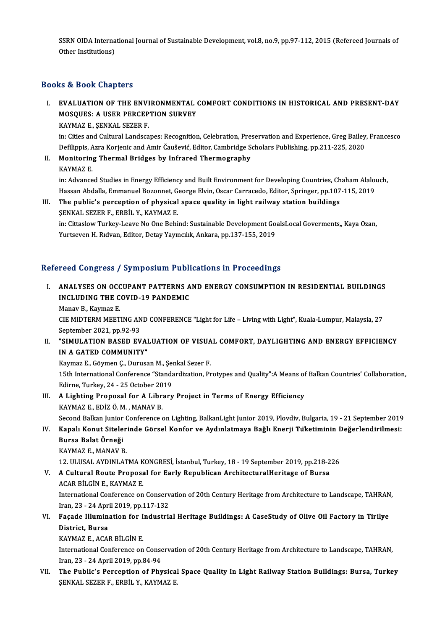SSRN OIDA International Journal of Sustainable Development, vol.8, no.9, pp.97-112, 2015 (Refereed Journals of<br>Other Institutions) SSRN OIDA Interna<br>Other Institutions)

# 0ther Institutions)<br>Books & Book Chapters

## I. EVALUATION OF THE ENVIRONMENTAL COMFORT CONDITIONS IN HISTORICAL AND PRESENT-DAY LO & DOOR GRAPGIS<br>EVALUATION OF THE ENVIRONMENTAL<br>MOSQUES: A USER PERCEPTION SURVEY<br>KAVMAZE, SENKAL SEZER E EVALUATION OF THE ENVI<br>MOSQUES: A USER PERCEP<br>KAYMAZ E., ŞENKAL SEZER F.<br>in: Gijes and Gultural Landsca

MOSQUES: A USER PERCEPTION SURVEY<br>KAYMAZ E., ŞENKAL SEZER F.<br>in: Cities and Cultural Landscapes: Recognition, Celebration, Preservation and Experience, Greg Bailey, Francesco<br>Defilippis, Agra Koriania and Amir Čeučević, Ed KAYMAZ E., ŞENKAL SEZER F.<br>in: Cities and Cultural Landscapes: Recognition, Celebration, Preservation and Experience, Greg Bailey<br>Defilippis, Azra Korjenic and Amir Čaušević, Editor, Cambridge Scholars Publishing, pp.211-2 in: Cities and Cultural Landscapes: Recognition, Celebration, Pre:<br>Defilippis, Azra Korjenic and Amir Čaušević, Editor, Cambridge S<br>II. Monitoring Thermal Bridges by Infrared Thermography<br>KAYMAZ E

Defilippis, A<br>**Monitorin**<br>KAYMAZ E.<br>in: Advance Monitoring Thermal Bridges by Infrared Thermography<br>KAYMAZ E.<br>in: Advanced Studies in Energy Efficiency and Built Environment for Developing Countries, Chaham Alalouch,<br>Hassan Abdalla Emmanuel Begennet Coorge Elvin, Ossar KAYMAZ E.<br>in: Advanced Studies in Energy Efficiency and Built Environment for Developing Countries, Chaham Alalor<br>Hassan Abdalla, Emmanuel Bozonnet, George Elvin, Oscar Carracedo, Editor, Springer, pp.107-115, 2019<br>The pub

Hassan Abdalla, Emmanuel Bozonnet, George Elvin, Oscar Carracedo, Editor, Springer, pp.107-115, 2019<br>III. The public's perception of physical space quality in light railway station buildings ŞENKAL SEZER F., ERBİL Y., KAYMAZ E. The public's perception of physical space quality in light railway station buildings<br>ŞENKAL SEZER F., ERBİL Y., KAYMAZ E.<br>in: Cittaslow Turkey-Leave No One Behind: Sustainable Development GoalsLocal Goverments,, Kaya Ozan,

ŞENKAL SEZER F., ERBİL Y., KAYMAZ E.<br>in: Cittaslow Turkey-Leave No One Behind: Sustainable Development Go.<br>Yurtseven H. Rıdvan, Editor, Detay Yayıncılık, Ankara, pp.137-155, 2019

# Yurtseven H. Rıdvan, Editor, Detay Yayıncılık, Ankara, pp.137-155, 2019<br>Refereed Congress / Symposium Publications in Proceedings

efereed Congress / Symposium Publications in Proceedings<br>I. ANALYSES ON OCCUPANT PATTERNS AND ENERGY CONSUMPTION IN RESIDENTIAL BUILDINGS<br>INCLUDING THE COVID 19 PANDEMIC ISCA CONGLESS / SYMPOSIAM I ASI.<br>ANALYSES ON OCCUPANT PATTERNS A<br>INCLUDING THE COVID-19 PANDEMIC INCLUDING THE COVID-19 PANDEMIC<br>Manav B., Kaymaz E.

INCLUDING THE COVID-19 PANDEMIC<br>Manav B., Kaymaz E.<br>CIE MIDTERM MEETING AND CONFERENCE "Light for Life – Living with Light", Kuala-Lumpur, Malaysia, 27<br>Sentember 2021, pp.92.93 Manav B., Kaymaz E.<br>CIE MIDTERM MEETING AN<br>September 2021, pp.92-93<br>"SIMIJI ATION BASED EV CIE MIDTERM MEETING AND CONFERENCE "Light for Life – Living with Light", Kuala-Lumpur, Malaysia, 27<br>September 2021, pp.92-93<br>II. "SIMULATION BASED EVALUATION OF VISUAL COMFORT, DAYLIGHTING AND ENERGY EFFICIENCY

September 2021, pp.92-93<br>"SIMULATION BASED EVAI<br>IN A GATED COMMUNITY"<br>"Yaumar E Cäumar C Duruss "SIMULATION BASED EVALUATION OF VISUA<br>IN A GATED COMMUNITY"<br>Kaymaz E., Göymen Ç., Durusan M., Şenkal Sezer F.<br>15th International Conference "Standardiration, Pr

1N A GATED COMMUNITY"<br>Kaymaz E., Göymen Ç., Durusan M., Şenkal Sezer F.<br>15th International Conference "Standardization, Protypes and Quality":A Means of Balkan Countries' Collaboration,<br>Edirne, Turkey, 24 - 25 October 2019 Kaymaz E., Göymen Ç., Durusan M., Şei<br>15th International Conference "Standa<br>Edirne, Turkey, 24 - 25 October 2019 15th International Conference "Standardization, Protypes and Quality":A Means of<br>Edirne, Turkey, 24 - 25 October 2019<br>III. A Lighting Proposal for A Library Project in Terms of Energy Efficiency<br>KAYMAZE EDIZ Ö M. MANAV P

- Edirne, Turkey, 24 25 October 20<br>A Lighting Proposal for A Libra<br>KAYMAZ E., EDİZ Ö.M. , MANAV B.<br>Sesend Balkan Junier Cenference e KAYMAZ E., EDİZ Ö. M. , MANAV B.<br>Second Balkan Junior Conference on Lighting, BalkanLight Junior 2019, Plovdiv, Bulgaria, 19 - 21 September 2019
- KAYMAZ E., EDİZ Ö. M. , MANAV B.<br>19 Second Balkan Junior Conference on Lighting, BalkanLight Junior 2019, Plovdiv, Bulgaria, 19 21 September<br>19 IV. Kapalı Konut Sitelerinde Görsel Konfor ve Aydınlatmaya Bağlı Enerji Second Balkan Junior<br><mark>Kapalı Konut Sitele</mark><br>Bursa Balat Örneği<br>KAYMAZ E. MANAV P Kapalı Konut Siteler<br>Bursa Balat Örneği<br>KAYMAZ E., MANAV B.<br>12 ULUSAL AYDINLAT Bursa Balat Örneği<br>KAYMAZ E., MANAV B.<br>12. ULUSAL AYDINLATMA KONGRESİ, İstanbul, Turkey, 18 - 19 September 2019, pp.218-226<br>A Cultural Boute Bronesal for Farly Bonublican ArchitecturalHaritage of Burse.

KAYMAZ E., MANAV B.<br>12. ULUSAL AYDINLATMA KONGRESİ, İstanbul, Turkey, 18 - 19 September 2019, pp.218-2<br>16. V. A Cultural Route Proposal for Early Republican ArchitecturalHeritage of Bursa 12. ULUSAL AYDINLATMA K<br>A Cultural Route Proposa<br>ACAR BİLGİN E., KAYMAZ E.<br>International Conference en

A Cultural Route Proposal for Early Republican ArchitecturalHeritage of Bursa<br>ACAR BİLGİN E., KAYMAZ E.<br>International Conference on Conservation of 20th Century Heritage from Architecture to Landscape, TAHRAN,<br>Iran 22 - 24 ACAR BİLGİN E., KAYMAZ E.<br>International Conference on Conserv<br>Iran, 23 - 24 April 2019, pp.117-132<br>Fessede Illumination fon Industria International Conference on Conservation of 20th Century Heritage from Architecture to Landscape, TAHRAN<br>Iran, 23 - 24 April 2019, pp.117-132<br>VI. Façade Illumination for Industrial Heritage Buildings: A CaseStudy of Olive

Iran, 23 - 24 Apr.<br>Façade Illumin.<br>District, Bursa<br>KAVMAZE ACAL Façade Illumination for I<br>District, Bursa<br>KAYMAZ E., ACAR BİLGİN E.<br>International Conference on

District, Bursa<br>KAYMAZ E., ACAR BİLGİN E.<br>International Conference on Conservation of 20th Century Heritage from Architecture to Landscape, TAHRAN,<br>Iran. 22 - 24 Anril 2010, np.84.94 KAYMAZ E., ACAR BİLGİN E.<br>International Conference on Conse<br>Iran, 23 - 24 April 2019, pp.84-94<br>The Bublis's Persentian of Phy International Conference on Conservation of 20th Century Heritage from Architecture to Landscape, TAHRAN,<br>Iran, 23 - 24 April 2019, pp.84-94<br>VII. The Public's Perception of Physical Space Quality In Light Railway Station B

Iran, 23 - 24 April 2019, pp.84-94<br><mark>The Public's Perception of Physica</mark>l<br>ŞENKAL SEZER F., ERBİL Y., KAYMAZ E.